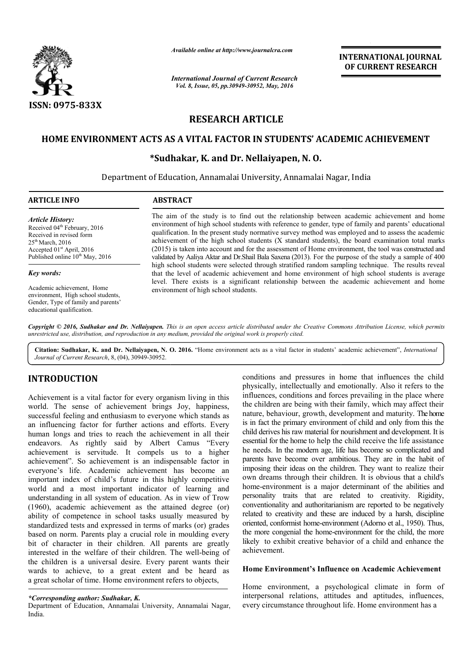

*Available online at http://www.journalcra.com*

*International Journal of Current Research Vol. 8, Issue, 05, pp.30949-30952, May, 2016*

**INTERNATIONAL JOURNAL OF CURRENT RESEARCH** 

# **RESEARCH ARTICLE**

# **HOME ENVIRONMENT ACTS AS A VITAL FACTOR IN STUDENTS' ACADEMIC ACHIEVEMENT HOME**

# **\*Sudhakar, K. and Dr. Nellaiyapen Sudhakar, Nellaiyapen, N. O.**

Department of Education, Annamalai University, Annamalai Nagar, India

| <b>ARTICLE INFO</b>                                                                                                                                                                                 | <b>ABSTRACT</b>                                                                                                                                                                                                                                                                                                                                                                                                                                                                                                                                                                                                                     |  |  |  |  |
|-----------------------------------------------------------------------------------------------------------------------------------------------------------------------------------------------------|-------------------------------------------------------------------------------------------------------------------------------------------------------------------------------------------------------------------------------------------------------------------------------------------------------------------------------------------------------------------------------------------------------------------------------------------------------------------------------------------------------------------------------------------------------------------------------------------------------------------------------------|--|--|--|--|
| <b>Article History:</b><br>Received 04 <sup>th</sup> February, 2016<br>Received in revised form<br>$25th$ March, 2016<br>Accepted $01st$ April, 2016<br>Published online 10 <sup>th</sup> May, 2016 | The aim of the study is to find out the relationship between academic achievement and home<br>environment of high school students with reference to gender, type of family and parents' educational<br>qualification. In the present study normative survey method was employed and to assess the academic<br>achievement of the high school students (X standard students), the board examination total marks<br>(2015) is taken into account and for the assessment of Home environment, the tool was constructed and<br>validated by Aaliya Aktar and Dr. Shail Bala Saxena (2013). For the purpose of the study a sample of 400 |  |  |  |  |
| Key words:                                                                                                                                                                                          | high school students were selected through stratified random sampling technique. The results reveal<br>that the level of academic achievement and home environment of high school students is average                                                                                                                                                                                                                                                                                                                                                                                                                               |  |  |  |  |
| Academic achievement, Home<br>environment. High school students,<br>Gender, Type of family and parents'<br>educational qualification.                                                               | level. There exists is a significant relationship between the academic achievement and home<br>environment of high school students.                                                                                                                                                                                                                                                                                                                                                                                                                                                                                                 |  |  |  |  |

Copyright © 2016, Sudhakar and Dr. Nellaiyapen. This is an open access article distributed under the Creative Commons Attribution License, which permits *unrestricted use, distribution, and reproduction in any medium, provided the original work is properly cited.*

Citation: Sudhakar, K. and Dr. Nellaiyapen, N. O. 2016. "Home environment acts as a vital factor in students' academic achievement", *International Journal of Current Research*, 8, (04), 30949-30952.

# **INTRODUCTION**

Achievement is a vital factor for every organism living in this world. The sense of achievement brings Joy, happiness, successful feeling and enthusiasm to everyone which stands as an influencing factor for further actions and efforts. Every human longs and tries to reach the achievement in all their endeavors. As rightly said by Albert Camus "Every achievement is servitude. It compels us to a higher achievement". So achievement is an indispensable factor in human longs and tries to reach the achievement in all their<br>endeavors. As rightly said by Albert Camus "Every<br>achievement is servitude. It compels us to a higher<br>achievement". So achievement is an indispensable factor in<br>e important index of child's future in this highly competitive world and a most important indicator of learning and understanding in all system of education. As in view of Trow (1960), academic achievement as the attained degree (or) ability of competence in school tasks usually measured by standardized tests and expressed in terms of marks (or) grades based on norm. Parents play a crucial role in moulding every bit of character in their children. All parents are greatly interested in the welfare of their children. The well-being of the children is a universal desire. Every parent wants their wards to achieve, to a great extent and be heard as a great scholar of time. Home environment refers to objects,

### *\*Corresponding author: Sudhakar, K.*

Department of Education, Annamalai University, Annamalai Nagar, India.

conditions and pressures in home that influences the child physically, intellectually and emotionally. Also it refers to the influences, conditions and forces prevailing in the place where the children are being with their family, which may affect their nature, behaviour, growth, development and maturity. The home is in fact the primary environment of child and only from this the is in fact the primary environment of child and only from this the child derives his raw material for nourishment and development. It is essential for the home to help the child receive the life assistance he needs. In the modern age, life has become so complicated and parents have become over ambitious. They are in the habit of essential for the home to help the child receive the life assistance<br>he needs. In the modern age, life has become so complicated and<br>parents have become over ambitious. They are in the habit of<br>imposing their ideas on the own dreams through their children. It is obvious that a child's home-environment is a major determinant of the abilities and personality traits that are related to creativity. Rigidity, conventionality and authoritarianism are reported to be negatively related to creativity and these are induced by a harsh, discipline oriented, conformist home-environment (Adorno et al., 1950). Thus, the more congenial the home-environment for the child, the more the more congenial the home-environment for the child, the more likely to exhibit creative behavior of a child and enhance the achievement. and pressures in home that influences the child<br>intellectually and emotionally. Also it refers to the<br>conditions and forces prevailing in the place where personality traits that are related to creativity. Rigidity, conventionality and authoritarianism are reported to be negatively related to creativity and these are induced by a harsh, discipline **INTERNATIONAL JOURNAL**<br> **CONTRIGUAT CONTRIGUAT CONTRIGUAT CONTRIGUAT CONTRIGUATE CONTRIGUATE CONTRIGUATE AND CONTRIGUATE AND A DIMENSION CONTRIGUATE AND A properation discussion of the mean environment the tool was const** 

# **Home Environment's Influence on Academic Achievement**

Home environment, a psychological climate in form of interpersonal relations, attitudes and aptitudes, influences, every circumstance throughout life. Home environment has a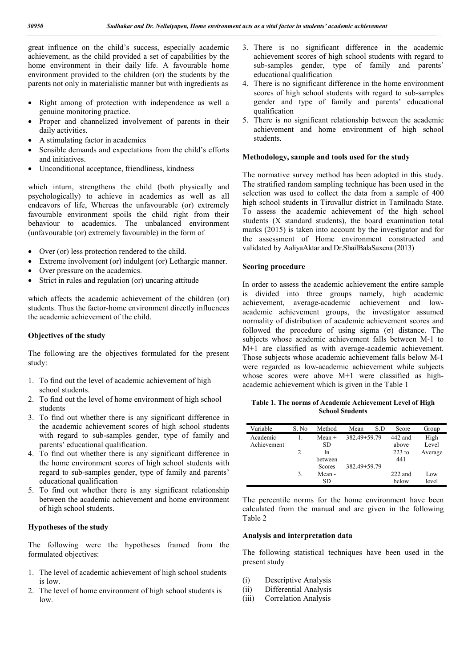great influence on the child's success, especially academic achievement, as the child provided a set of capabilities by the home environment in their daily life. A favourable home environment provided to the children (or) the students by the parents not only in materialistic manner but with ingredients as

- Right among of protection with independence as well a genuine monitoring practice.
- Proper and channelized involvement of parents in their daily activities.
- A stimulating factor in academics
- Sensible demands and expectations from the child's efforts and initiatives.
- Unconditional acceptance, friendliness, kindness

which inturn, strengthens the child (both physically and psychologically) to achieve in academics as well as all endeavors of life, Whereas the unfavourable (or) extremely favourable environment spoils the child right from their behaviour to academics. The unbalanced environment (unfavourable (or) extremely favourable) in the form of

- Over (or) less protection rendered to the child.
- Extreme involvement (or) indulgent (or) Lethargic manner.
- Over pressure on the academics.
- Strict in rules and regulation (or) uncaring attitude

which affects the academic achievement of the children (or) students. Thus the factor-home environment directly influences the academic achievement of the child.

### **Objectives of the study**

The following are the objectives formulated for the present study:

- 1. To find out the level of academic achievement of high school students.
- 2. To find out the level of home environment of high school students
- 3. To find out whether there is any significant difference in the academic achievement scores of high school students with regard to sub-samples gender, type of family and parents' educational qualification.
- 4. To find out whether there is any significant difference in the home environment scores of high school students with regard to sub-samples gender, type of family and parents' educational qualification
- 5. To find out whether there is any significant relationship between the academic achievement and home environment of high school students.

# **Hypotheses of the study**

The following were the hypotheses framed from the formulated objectives:

- 1. The level of academic achievement of high school students is low.
- 2. The level of home environment of high school students is  $\log$
- 3. There is no significant difference in the academic achievement scores of high school students with regard to sub-samples gender, type of family and parents' educational qualification
- 4. There is no significant difference in the home environment scores of high school students with regard to sub-samples gender and type of family and parents' educational qualification
- 5. There is no significant relationship between the academic achievement and home environment of high school students.

### **Methodology, sample and tools used for the study**

The normative survey method has been adopted in this study. The stratified random sampling technique has been used in the selection was used to collect the data from a sample of 400 high school students in Tiruvallur district in Tamilnadu State. To assess the academic achievement of the high school students (X standard students), the board examination total marks (2015) is taken into account by the investigator and for the assessment of Home environment constructed and validated by AaliyaAktar and Dr.ShailBalaSaxena (2013)

#### **Scoring procedure**

In order to assess the academic achievement the entire sample is divided into three groups namely, high academic achievement, average-academic achievement and lowacademic achievement groups, the investigator assumed normality of distribution of academic achievement scores and followed the procedure of using sigma (σ) distance. The subjects whose academic achievement falls between M-1 to M+1 are classified as with average-academic achievement. Those subjects whose academic achievement falls below M-1 were regarded as low-academic achievement while subjects whose scores were above M+1 were classified as highacademic achievement which is given in the Table 1

**Table 1. The norms of Academic Achievement Level of High School Students**

| Variable    | S. No | Method        | Mean         | S.D | Score     | Group   |
|-------------|-------|---------------|--------------|-----|-----------|---------|
| Academic    |       | $Mean +$      | 382.49+59.79 |     | 442 and   | High    |
| Achievement |       | SD            |              |     | above     | Level   |
|             | 2.    | In            |              |     | $223$ to  | Average |
|             |       | between       |              |     | 441       |         |
|             |       | <b>Scores</b> | 382.49+59.79 |     |           |         |
|             | 3.    | Mean -        |              |     | $222$ and | Low     |
|             |       | SD            |              |     | below     | level   |

The percentile norms for the home environment have been calculated from the manual and are given in the following Table 2

#### **Analysis and interpretation data**

The following statistical techniques have been used in the present study

- (i) Descriptive Analysis
- (ii) Differential Analysis
- (iii) Correlation Analysis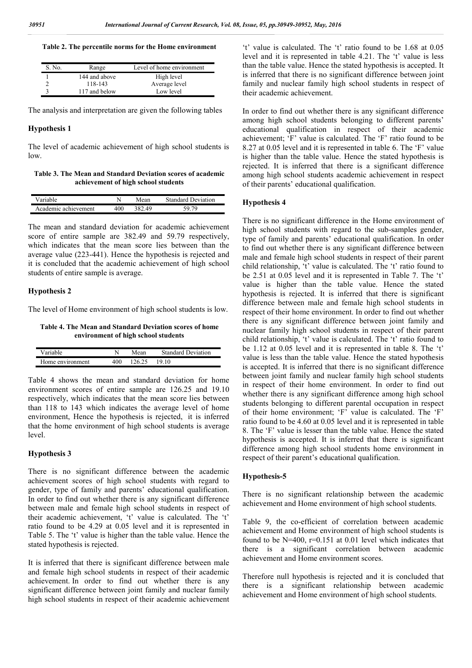#### **Table 2. The percentile norms for the Home environment**

| S. No. | Range         | Level of home environment |
|--------|---------------|---------------------------|
|        | 144 and above | High level                |
|        | 118-143       | Average level             |
|        | 117 and below | Low level                 |

The analysis and interpretation are given the following tables

#### **Hypothesis 1**

The level of academic achievement of high school students is low.

**Table 3. The Mean and Standard Deviation scores of academic achievement of high school students**

| Variable             |     | Mean   | <b>Standard Deviation</b> |
|----------------------|-----|--------|---------------------------|
| Academic achievement | 400 | 382.49 |                           |

The mean and standard deviation for academic achievement score of entire sample are 382.49 and 59.79 respectively, which indicates that the mean score lies between than the average value (223-441). Hence the hypothesis is rejected and it is concluded that the academic achievement of high school students of entire sample is average.

#### **Hypothesis 2**

The level of Home environment of high school students is low.

**Table 4. The Mean and Standard Deviation scores of home environment of high school students**

| Variable         |     | Mean   | <b>Standard Deviation</b> |
|------------------|-----|--------|---------------------------|
| Home environment | 400 | 126.25 | 1910                      |

Table 4 shows the mean and standard deviation for home environment scores of entire sample are 126.25 and 19.10 respectively, which indicates that the mean score lies between than 118 to 143 which indicates the average level of home environment, Hence the hypothesis is rejected, it is inferred that the home environment of high school students is average level.

#### **Hypothesis 3**

There is no significant difference between the academic achievement scores of high school students with regard to gender, type of family and parents' educational qualification. In order to find out whether there is any significant difference between male and female high school students in respect of their academic achievement, 't' value is calculated. The 't' ratio found to be 4.29 at 0.05 level and it is represented in Table 5. The 't' value is higher than the table value. Hence the stated hypothesis is rejected.

It is inferred that there is significant difference between male and female high school students in respect of their academic achievement. In order to find out whether there is any significant difference between joint family and nuclear family high school students in respect of their academic achievement

't' value is calculated. The 't' ratio found to be 1.68 at 0.05 level and it is represented in table 4.21. The 't' value is less than the table value. Hence the stated hypothesis is accepted. It is inferred that there is no significant difference between joint family and nuclear family high school students in respect of their academic achievement.

In order to find out whether there is any significant difference among high school students belonging to different parents' educational qualification in respect of their academic achievement; 'F' value is calculated. The 'F' ratio found to be 8.27 at 0.05 level and it is represented in table 6. The 'F' value is higher than the table value. Hence the stated hypothesis is rejected. It is inferred that there is a significant difference among high school students academic achievement in respect of their parents' educational qualification.

#### **Hypothesis 4**

There is no significant difference in the Home environment of high school students with regard to the sub-samples gender, type of family and parents' educational qualification. In order to find out whether there is any significant difference between male and female high school students in respect of their parent child relationship, 't' value is calculated. The 't' ratio found to be 2.51 at 0.05 level and it is represented in Table 7. The 't' value is higher than the table value. Hence the stated hypothesis is rejected. It is inferred that there is significant difference between male and female high school students in respect of their home environment. In order to find out whether there is any significant difference between joint family and nuclear family high school students in respect of their parent child relationship, 't' value is calculated. The 't' ratio found to be 1.12 at 0.05 level and it is represented in table 8. The 't' value is less than the table value. Hence the stated hypothesis is accepted. It is inferred that there is no significant difference between joint family and nuclear family high school students in respect of their home environment. In order to find out whether there is any significant difference among high school students belonging to different parental occupation in respect of their home environment; 'F' value is calculated. The 'F' ratio found to be 4.60 at 0.05 level and it is represented in table 8. The 'F' value is lesser than the table value. Hence the stated hypothesis is accepted. It is inferred that there is significant difference among high school students home environment in respect of their parent's educational qualification.

#### **Hypothesis-5**

There is no significant relationship between the academic achievement and Home environment of high school students.

Table 9, the co-efficient of correlation between academic achievement and Home environment of high school students is found to be  $N=400$ ,  $r=0.151$  at 0.01 level which indicates that there is a significant correlation between academic achievement and Home environment scores.

Therefore null hypothesis is rejected and it is concluded that there is a significant relationship between academic achievement and Home environment of high school students.